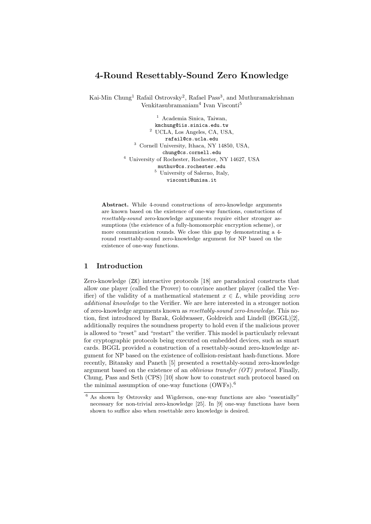# 4-Round Resettably-Sound Zero Knowledge

Kai-Min Chung<sup>1</sup> Rafail Ostrovsky<sup>2</sup>, Rafael Pass<sup>3</sup>, and Muthuramakrishnan Venkitasubramaniam<sup>4</sup> Ivan Visconti<sup>5</sup>

> <sup>1</sup> Academia Sinica, Taiwan, kmchung@iis.sinica.edu.tw <sup>2</sup> UCLA, Los Angeles, CA, USA, rafail@cs.ucla.edu <sup>3</sup> Cornell University, Ithaca, NY 14850, USA, chung@cs.cornell.edu <sup>4</sup> University of Rochester, Rochester, NY 14627, USA muthuv@cs.rochester.edu <sup>5</sup> University of Salerno, Italy, visconti@unisa.it

Abstract. While 4-round constructions of zero-knowledge arguments are known based on the existence of one-way functions, constuctions of resettably-sound zero-knowledge arguments require either stronger assumptions (the existence of a fully-homomorphic encryption scheme), or more communication rounds. We close this gap by demonstrating a 4 round resettably-sound zero-knowledge argument for NP based on the existence of one-way functions.

# 1 Introduction

Zero-knowledge (ZK) interactive protocols [18] are paradoxical constructs that allow one player (called the Prover) to convince another player (called the Verifier) of the validity of a mathematical statement  $x \in L$ , while providing zero additional knowledge to the Verifier. We are here interested in a stronger notion of zero-knowledge arguments known as resettably-sound zero-knowledge. This notion, first introduced by Barak, Goldwasser, Goldreich and Lindell (BGGL)[2], additionally requires the soundness property to hold even if the malicious prover is allowed to "reset" and "restart" the verifier. This model is particularly relevant for cryptographic protocols being executed on embedded devices, such as smart cards. BGGL provided a construction of a resettably-sound zero-knowledge argument for NP based on the existence of collision-resistant hash-functions. More recently, Bitansky and Paneth [5] presented a resettably-sound zero-knowledge argument based on the existence of an *oblivious transfer (OT) protocol*. Finally, Chung, Pass and Seth (CPS) [10] show how to construct such protocol based on the minimal assumption of one-way functions (OWFs).<sup>6</sup>

<sup>&</sup>lt;sup>6</sup> As shown by Ostrovsky and Wigderson, one-way functions are also "essentially" necessary for non-trivial zero-knowledge [25]. In [9] one-way functions have been shown to suffice also when resettable zero knowledge is desired.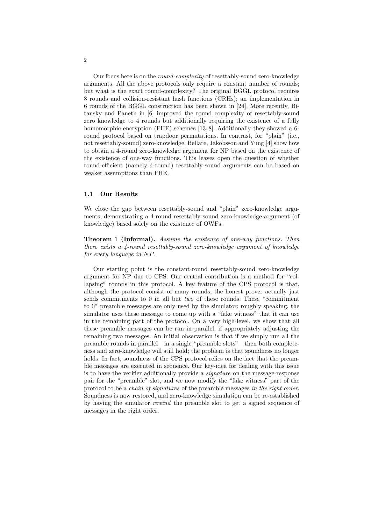Our focus here is on the round-complexity of resettably-sound zero-knowledge arguments. All the above protocols only require a constant number of rounds; but what is the exact round-complexity? The original BGGL protocol requires 8 rounds and collision-resistant hash functions (CRHs); an implementation in 6 rounds of the BGGL construction has been shown in [24]. More recently, Bitansky and Paneth in [6] improved the round complexity of resettably-sound zero knowledge to 4 rounds but additionally requiring the existence of a fully homomorphic encryption (FHE) schemes [13, 8]. Additionally they showed a 6round protocol based on trapdoor permutations. In contrast, for "plain" (i.e., not resettably-sound) zero-knowledge, Bellare, Jakobsson and Yung [4] show how to obtain a 4-round zero-knowledge argument for NP based on the existence of the existence of one-way functions. This leaves open the question of whether round-efficient (namely 4-round) resettably-sound arguments can be based on weaker assumptions than FHE.

### 1.1 Our Results

We close the gap between resettably-sound and "plain" zero-knowledge arguments, demonstrating a 4-round resettably sound zero-knowledge argument (of knowledge) based solely on the existence of OWFs.

Theorem 1 (Informal). Assume the existence of one-way functions. Then there exists a 4-round resettably-sound zero-knowledge argument of knowledge for every language in NP.

Our starting point is the constant-round resettably-sound zero-knowledge argument for NP due to CPS. Our central contribution is a method for "collapsing" rounds in this protocol. A key feature of the CPS protocol is that, although the protocol consist of many rounds, the honest prover actually just sends commitments to 0 in all but two of these rounds. These "commitment to 0" preamble messages are only used by the simulator; roughly speaking, the simulator uses these message to come up with a "fake witness" that it can use in the remaining part of the protocol. On a very high-level, we show that all these preamble messages can be run in parallel, if appropriately adjusting the remaining two messages. An initial observation is that if we simply run all the preamble rounds in parallel—in a single "preamble slots"—then both completeness and zero-knowledge will still hold; the problem is that soundness no longer holds. In fact, soundness of the CPS protocol relies on the fact that the preamble messages are executed in sequence. Our key-idea for dealing with this issue is to have the verifier additionally provide a signature on the message-response pair for the "preamble" slot, and we now modify the "fake witness" part of the protocol to be a chain of signatures of the preamble messages in the right order. Soundness is now restored, and zero-knowledge simulation can be re-established by having the simulator rewind the preamble slot to get a signed sequence of messages in the right order.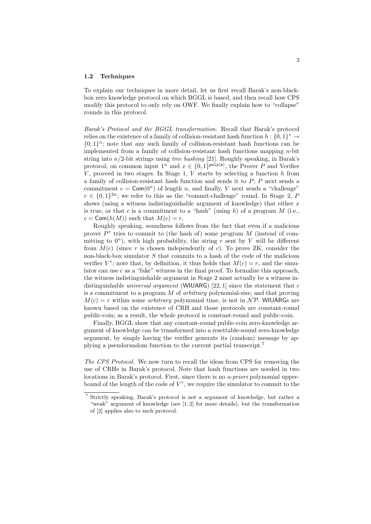#### 1.2 Techniques

To explain our techniques in more detail, let us first recall Barak's non-blackbox zero knowledge protocol on which BGGL is based, and then recall how CPS modify this protocol to only rely on OWF. We finally explain how to "collapse" rounds in this protocol.

Barak's Protocol and the BGGL transformation. Recall that Barak's protocol relies on the existence of a family of collision-resistant hash function  $h: \{0,1\}^* \to$  $\{0,1\}^n$ ; note that any such family of collision-resistant hash functions can be implemented from a family of collision-resistant hash functions mapping  $n$ -bit string into  $n/2$ -bit strings using *tree hashing* [21]. Roughly speaking, in Barak's protocol, on common input  $1^n$  and  $x \in \{0,1\}^{\text{poly}(n)}$ , the Prover P and Verifier  $V$ , proceed in two stages. In Stage 1,  $V$  starts by selecting a function  $h$  from a family of collision-resistant hash function and sends it to  $P$ ;  $P$  next sends a commitment  $c = \text{Com}(0^n)$  of length n, and finally, V next sends a "challenge"  $r \in \{0,1\}^{2n}$ ; we refer to this as the "commit-challenge" round. In Stage 2, F shows (using a witness indistinguishable argument of knowledge) that either  $x$ is true, or that c is a commitment to a "hash" (using h) of a program  $M$  (i.e.,  $c = \text{Com}(h(M))$  such that  $M(c) = r$ .

Roughly speaking, soundness follows from the fact that even if a malicious prover  $P^*$  tries to commit to (the hash of) some program  $M$  (instead of committing to  $0^n$ ), with high probability, the string r sent by V will be different from  $M(c)$  (since r is chosen independently of c). To prove ZK, consider the non-black-box simulator  $S$  that commits to a hash of the code of the malicious verifier  $V^*$ ; note that, by definition, it thus holds that  $M(c) = r$ , and the simulator can use  $c$  as a "fake" witness in the final proof. To formalize this approach, the witness indistinguishable argument in Stage 2 must actually be a witness indistinguishable *universal argument* (WIUARG) [22, 1] since the statement that  $c$ is a commitment to a program  $M$  of *arbitrary* polynomial-size, and that proving  $M(c) = r$  within some *arbitrary* polynomial time, is not in  $N\mathcal{P}$ . WIUARGs are known based on the existence of CRH and those protocols are constant-round public-coin; as a result, the whole protocol is constant-round and public-coin.

Finally, BGGL show that any constant-round public-coin zero-knowledge argument of knowledge can be transformed into a resettable-sound zero-knowledge argument, by simply having the verifier generate its (random) message by applying a pseudorandom function to the current partial transcript.<sup>7</sup>

The CPS Protocol. We now turn to recall the ideas from CPS for removing the use of CRHs in Barak's protocol. Note that hash functions are needed in two locations in Barak's protocol. First, since there is no *a-priori* polynomial upperbound of the length of the code of  $V^*$ , we require the simulator to commit to the

<sup>7</sup> Strictly speaking, Barak's protocol is not a argument of knowledge, but rather a "weak" argument of knowledge (see [1, 2] for more details), but the transformation of [2] applies also to such protocol.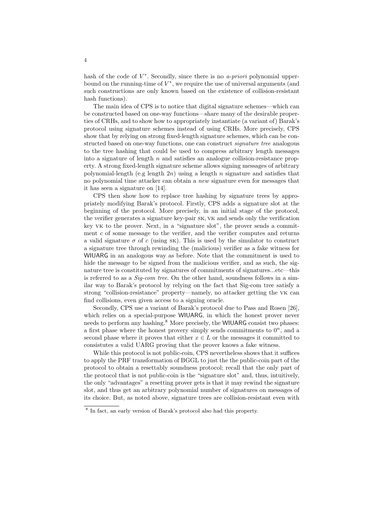hash of the code of  $V^*$ . Secondly, since there is no *a-priori* polynomial upperbound on the running-time of  $V^*$ , we require the use of universal arguments (and such constructions are only known based on the existence of collision-resistant hash functions).

The main idea of CPS is to notice that digital signature schemes—which can be constructed based on one-way functions—share many of the desirable properties of CRHs, and to show how to appropriately instantiate (a variant of) Barak's protocol using signature schemes instead of using CRHs. More precisely, CPS show that by relying on strong fixed-length signature schemes, which can be constructed based on one-way functions, one can construct *signature tree* analogous to the tree hashing that could be used to compress arbitrary length messages into a signature of length  $n$  and satisfies an analogue collision-resistance property. A strong fixed-length signature scheme allows signing messages of arbitrary polynomial-length (e.g length  $2n$ ) using a length n signature and satisfies that no polynomial time attacker can obtain a new signature even for messages that it has seen a signature on [14].

CPS then show how to replace tree hashing by signature trees by appropriately modifying Barak's protocol. Firstly, CPS adds a signature slot at the beginning of the protocol. More precisely, in an initial stage of the protocol, the verifier generates a signature key-pair sk, vk and sends only the verification key vk to the prover. Next, in a "signature slot", the prover sends a commitment  $c$  of some message to the verifier, and the verifier computes and returns a valid signature  $\sigma$  of c (using SK). This is used by the simulator to construct a signature tree through rewinding the (malicious) verifier as a fake witness for WIUARG in an analogous way as before. Note that the commitment is used to hide the message to be signed from the malicious verifier, and as such, the signature tree is constituted by signatures of commitments of signatures...etc—this is referred to as a *Sig-com tree*. On the other hand, soundness follows in a similar way to Barak's protocol by relying on the fact that Sig-com tree satisfy a strong "collision-resistance" property—namely, no attacker getting the vk can find collisions, even given access to a signing oracle.

Secondly, CPS use a variant of Barak's protocol due to Pass and Rosen [26], which relies on a special-purpose WIUARG, in which the honest prover never needs to perform any hashing.<sup>8</sup> More precisely, the WIUARG consist two phases: a first phase where the honest provery simply sends commitments to  $0<sup>n</sup>$ , and a second phase where it proves that either  $x \in L$  or the messages it committed to consistutes a valid UARG proving that the prover knows a fake witness.

While this protocol is not public-coin, CPS nevertheless shows that it suffices to apply the PRF transformation of BGGL to just the the public-coin part of the protocol to obtain a resettably soundness protocol; recall that the only part of the protocol that is not public-coin is the "signature slot" and, thus, intuitively, the only "advantages" a resetting prover gets is that it may rewind the signature slot, and thus get an arbitrary polynomial number of signatures on messages of its choice. But, as noted above, signature trees are collision-resistant even with

<sup>8</sup> In fact, an early version of Barak's protocol also had this property.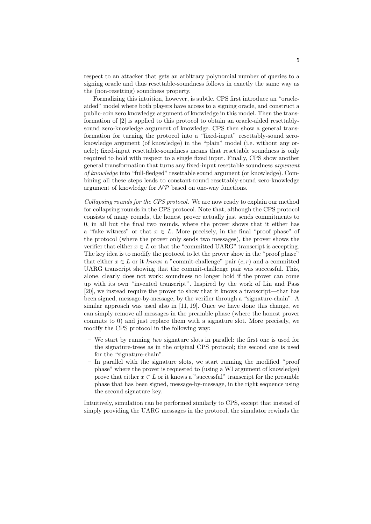respect to an attacker that gets an arbitrary polynomial number of queries to a signing oracle and thus resettable-soundness follows in exactly the same way as the (non-resetting) soundness property.

Formalizing this intuition, however, is subtle. CPS first introduce an "oracleaided" model where both players have access to a signing oracle, and construct a public-coin zero knowledge argument of knowledge in this model. Then the transformation of [2] is applied to this protocol to obtain an oracle-aided resettablysound zero-knowledge argument of knowledge. CPS then show a general transformation for turning the protocol into a "fixed-input" resettably-sound zeroknowledge argument (of knowledge) in the "plain" model (i.e. without any oracle); fixed-input resettable-soundness means that resettable soundness is only required to hold with respect to a single fixed input. Finally, CPS show another general transformation that turns any fixed-input resettable soundness argument of knowledge into "full-fledged" resettable sound argument (or knowledge). Combining all these steps leads to constant-round resettably-sound zero-knowledge argument of knowledge for  $\mathcal{NP}$  based on one-way functions.

Collapsing rounds for the CPS protocol. We are now ready to explain our method for collapsing rounds in the CPS protocol. Note that, although the CPS protocol consists of many rounds, the honest prover actually just sends commitments to 0, in all but the final two rounds, where the prover shows that it either has a "fake witness" or that  $x \in L$ . More precisely, in the final "proof phase" of the protocol (where the prover only sends two messages), the prover shows the verifier that either  $x \in L$  or that the "committed UARG" transcript is accepting. The key idea is to modify the protocol to let the prover show in the "proof phase" that either  $x \in L$  or it knows a "commit-challenge" pair  $(c, r)$  and a committed UARG transcript showing that the commit-challenge pair was successful. This, alone, clearly does not work: soundness no longer hold if the prover can come up with its own "invented transcript". Inspired by the work of Lin and Pass [20], we instead require the prover to show that it knows a transcript—that has been signed, message-by-message, by the verifier through a "signature-chain". A similar approach was used also in  $[11, 19]$ . Once we have done this change, we can simply remove all messages in the preamble phase (where the honest prover commits to 0) and just replace them with a signature slot. More precisely, we modify the CPS protocol in the following way:

- We start by running two signature slots in parallel: the first one is used for the signature-trees as in the original CPS protocol; the second one is used for the "signature-chain".
- In parallel with the signature slots, we start running the modified "proof phase" where the prover is requested to (using a WI argument of knowledge) prove that either  $x \in L$  or it knows a "successful" transcript for the preamble phase that has been signed, message-by-message, in the right sequence using the second signature key.

Intuitively, simulation can be performed similarly to CPS, except that instead of simply providing the UARG messages in the protocol, the simulator rewinds the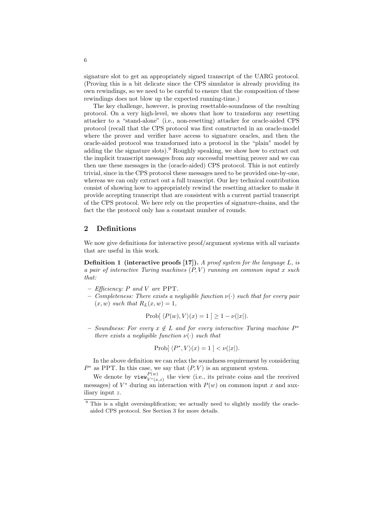signature slot to get an appropriately signed transcript of the UARG protocol. (Proving this is a bit delicate since the CPS simulator is already providing its own rewindings, so we need to be careful to ensure that the composition of these rewindings does not blow up the expected running-time.)

The key challenge, however, is proving resettable-soundness of the resulting protocol. On a very high-level, we shows that how to transform any resetting attacker to a "stand-alone" (i.e., non-resetting) attacker for oracle-aided CPS protocol (recall that the CPS protocol was first constructed in an oracle-model where the prover and verifier have access to signature oracles, and then the oracle-aided protocol was transformed into a protocol in the "plain" model by adding the the signature slots).<sup>9</sup> Roughly speaking, we show how to extract out the implicit transcript messages from any successful resetting prover and we can then use these messages in the (oracle-aided) CPS protocol. This is not entirely trivial, since in the CPS protocol these messages need to be provided one-by-one, whereas we can only extract out a full transcript. Our key technical contribution consist of showing how to appropriately rewind the resetting attacker to make it provide accepting transcript that are consistent with a current partial transcript of the CPS protocol. We here rely on the properties of signature-chains, and the fact the the protocol only has a constant number of rounds.

# 2 Definitions

We now give definitions for interactive proof/argument systems with all variants that are useful in this work.

**Definition 1** (interactive proofs [17]). A proof system for the language  $L$ , is a pair of interactive Turing machines  $(P, V)$  running on common input x such that:

- Efficiency:  $P$  and  $V$  are PPT.
- Completeness: There exists a negligible function  $\nu(\cdot)$  such that for every pair  $(x, w)$  such that  $R_L(x, w) = 1$ ,

$$
Prob[ \langle P(w), V \rangle(x) = 1 ] \ge 1 - \nu(|x|).
$$

− Soundness: For every  $x \notin L$  and for every interactive Turing machine  $P^*$ there exists a negligible function  $\nu(\cdot)$  such that

$$
\mathrm{Prob}[\ \langle P^*,V \rangle(x)=1\ ]<\nu(|x|)
$$

In the above definition we can relax the soundness requirement by considering  $P^*$  as PPT. In this case, we say that  $(P, V)$  is an argument system.

We denote by  $\mathsf{view}^{P(w)}_{V^*(x,z)}$  the view (i.e., its private coins and the received messages) of  $V^*$  during an interaction with  $P(w)$  on common input x and auxiliary input z.

<sup>&</sup>lt;sup>9</sup> This is a slight oversimplification; we actually need to slightly modify the oracleaided CPS protocol. See Section 3 for more details.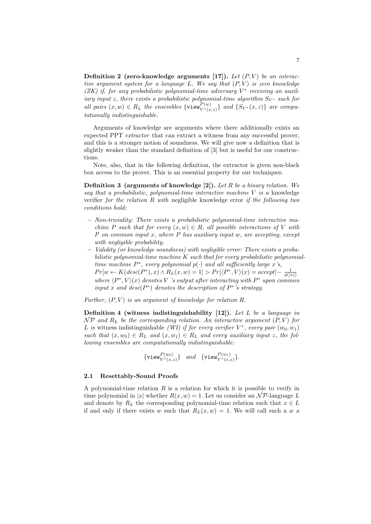Definition 2 (zero-knowledge arguments  $[17]$ ). Let  $(P, V)$  be an interactive argument system for a language L. We say that  $(P, V)$  is zero knowledge  $(ZK)$  if, for any probabilistic polynomial-time adversary  $V^*$  receiving an auxiliary input z, there exists a probabilistic polynomial-time algorithm  $S_{V^*}$  such for all pairs  $(x, w) \in R_L$  the ensembles  $\{view_{V^*(x,z)}^{P(w)}\}$  and  $\{S_{V^*}(x,z)\}$  are computationally indistinguishable.

Arguments of knowledge are arguments where there additionally exists an expected PPT *extractor* that can extract a witness from any successful prover, and this is a stronger notion of soundness. We will give now a definition that is slightly weaker than the standard definition of [3] but is useful for our constructions.

Note, also, that in the following definition, the extractor is given non-black box access to the prover. This is an essential property for our techniques.

**Definition 3** (arguments of knowledge [2]). Let R be a binary relation. We say that a probabilistic, polynomial-time interactive machine  $V$  is a knowledge verifier for the relation  $R$  with negligible knowledge error if the following two conditions hold:

- Non-triviality: There exists a probabilistic polynomial-time interactive machine P such that for every  $(x, w) \in R$ , all possible interactions of V with P on common input x, where  $P$  has auxiliary input w, are accepting, except with negligible probability.
- Validity (or knowledge soundness) with negligible error: There exists a probabilistic polynomial-time machine  $K$  such that for every probabilistic polynomialtime machine  $P^*$ , every polynomial  $p(\cdot)$  and all sufficiently large x's,  $Pr[w \leftarrow K(desc(P^*), x) \wedge R_L(x, w) = 1] > Pr[\langle P^*, V \rangle(x) = accept] - \frac{1}{p(|x|)}$ where  $\langle P^*, V \rangle (x)$  denotes V 's output after interacting with  $P^*$  upon common input x and  $desc(P^*)$  denotes the description of  $P^*$ 's strategy.

Further,  $(P, V)$  is an argument of knowledge for relation R.

Definition 4 (witness indistinguishability  $[12]$ ). Let L be a language in  $\mathcal{NP}$  and  $R_L$  be the corresponding relation. An interactive argument  $(P, V)$  for L is witness indistinguishable *(WI)* if for every verifier  $V^*$ , every pair  $(w_0, w_1)$ such that  $(x, w_0) \in R_L$  and  $(x, w_1) \in R_L$  and every auxiliary input z, the following ensembles are computationally indistinguishable:

$$
{\{{\rm view}^{P(w_0)}_{V^*(x,z)}\}} \quad and \quad {\{{\rm view}^{P(w_1)}_{V^*(x,z)}}\}.
$$

### 2.1 Resettably-Sound Proofs

A polynomial-time relation  $R$  is a relation for which it is possible to verify in time polynomial in |x| whether  $R(x, w) = 1$ . Let us consider an NP-language L and denote by  $R_L$  the corresponding polynomial-time relation such that  $x \in L$ if and only if there exists w such that  $R_L(x, w) = 1$ . We will call such a w a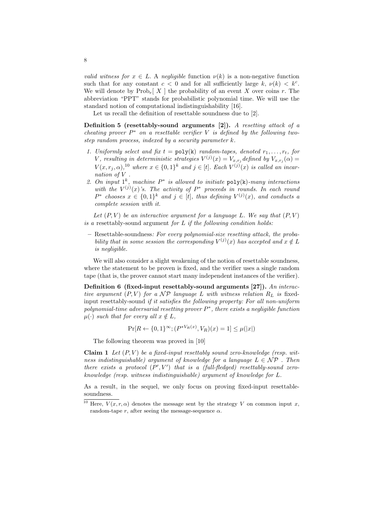valid witness for  $x \in L$ . A negligible function  $\nu(k)$  is a non-negative function such that for any constant  $c < 0$  and for all sufficiently large  $k, \nu(k) < k^c$ . We will denote by  $\mathrm{Prob}_r[X]$  the probability of an event X over coins r. The abbreviation "PPT" stands for probabilistic polynomial time. We will use the standard notion of computational indistinguishability [16].

Let us recall the definition of resettable soundness due to [2].

Definition 5 (resettably-sound arguments  $[2]$ ). A resetting attack of a cheating prover  $P^*$  on a resettable verifier V is defined by the following twostep random process, indexed by a security parameter k.

- 1. Uniformly select and fix  $t = \text{poly}(k)$  random-tapes, denoted  $r_1, \ldots, r_t$ , for V, resulting in deterministic strategies  $V^{(j)}(x) = V_{x,r_j}$  defined by  $V_{x,r_j}(\alpha) =$  $V(x, r_j, \alpha)$ ,<sup>10</sup> where  $x \in \{0, 1\}^k$  and  $j \in [t]$ . Each  $V^{(j)}(x)$  is called an incarnation of V .
- 2. On input  $1^k$ , machine  $P^*$  is allowed to initiate poly(k)-many interactions with the  $V^{(j)}(x)$ 's. The activity of  $P^*$  proceeds in rounds. In each round  $P^*$  chooses  $x \in \{0,1\}^k$  and  $j \in [t]$ , thus defining  $V^{(j)}(x)$ , and conducts a complete session with it.

Let  $(P, V)$  be an interactive argument for a language L. We say that  $(P, V)$ is a resettably-sound argument for  $L$  if the following condition holds:

– Resettable-soundness: For every polynomial-size resetting attack, the probability that in some session the corresponding  $V^{(j)}(x)$  has accepted and  $x \notin L$ is negligible.

We will also consider a slight weakening of the notion of resettable soundness, where the statement to be proven is fixed, and the verifier uses a single random tape (that is, the prover cannot start many independent instances of the verifier).

Definition 6 (fixed-input resettably-sound arguments [27]). An interactive argument  $(P, V)$  for a NP language L with witness relation  $R_L$  is fixedinput resettably-sound if it satisfies the following property: For all non-uniform polynomial-time adversarial resetting prover  $P^*$ , there exists a negligible function  $\mu(\cdot)$  such that for every all  $x \notin L$ ,

$$
\Pr[R \leftarrow \{0, 1\}^{\infty}; (P^{*V_R(x)}, V_R)(x) = 1] \le \mu(|x|)
$$

The following theorem was proved in [10]

**Claim 1** Let  $(P, V)$  be a fixed-input resettably sound zero-knowledge (resp. witness indistinguishable) argument of knowledge for a language  $L \in \mathcal{NP}$ . Then there exists a protocol  $(P', V')$  that is a (full-fledged) resettably-sound zeroknowledge (resp. witness indistinguishable) argument of knowledge for L.

As a result, in the sequel, we only focus on proving fixed-input resettablesoundness.

<sup>&</sup>lt;sup>10</sup> Here,  $V(x, r, \alpha)$  denotes the message sent by the strategy V on common input x, random-tape r, after seeing the message-sequence  $\alpha$ .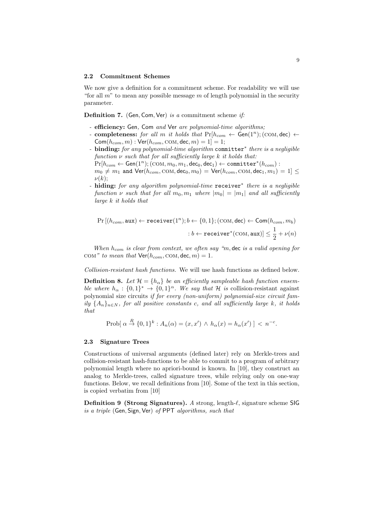#### 2.2 Commitment Schemes

We now give a definition for a commitment scheme. For readability we will use "for all  $m$ " to mean any possible message  $m$  of length polynomial in the security parameter.

Definition 7. (Gen, Com, Ver) is a commitment scheme if:

- efficiency: Gen, Com and Ver are polynomial-time algorithms;
- completeness: for all m it holds that  $Pr[h_{com} \leftarrow Gen(1^n); (COM, dec) \leftarrow$  $\textsf{Com}(h_{com}, m) : \textsf{Ver}(h_{com}, \text{COM}, \text{dec}, m) = 1] = 1;$
- binding: for any polynomial-time algorithm committer<sup>∗</sup> there is a negligible function  $\nu$  such that for all sufficiently large  $k$  it holds that:  $\Pr[h_{com} \gets \mathsf{Gen}(1^n); (\mathsf{COM}, m_0, m_1, \mathsf{dec}_0, \mathsf{dec}_1) \gets \mathsf{committer}^*(h_{com}) :$

 $m_0 \neq m_1$  and  $\text{Ver}(h_{com}, \text{COM}, \text{dec}_0, m_0) = \text{Ver}(h_{com}, \text{COM}, \text{dec}_1, m_1) = 1] \leq$  $\nu(k);$ 

- hiding: for any algorithm polynomial-time receiver<sup>∗</sup> there is a negligible function  $\nu$  such that for all  $m_0, m_1$  where  $|m_0| = |m_1|$  and all sufficiently large k it holds that

$$
\begin{aligned} \Pr\left[(h_{com},\texttt{aux}) \leftarrow \texttt{receiver}(1^n); b \leftarrow \{0,1\}; (\texttt{COM},\texttt{dec}) \leftarrow \texttt{Com}(h_{com},m_b) \\ &\hspace{10mm} : b \leftarrow \texttt{receiver}^*(\texttt{COM},\texttt{aux})] \leq \frac{1}{2} + \nu(n) \end{aligned}
$$

When  $h_{com}$  is clear from context, we often say "m, dec is a valid opening for COM" to mean that  $\text{Ver}(h_{com}, \text{COM}, \text{dec}, m) = 1$ .

Collision-resistant hash functions. We will use hash functions as defined below.

**Definition 8.** Let  $\mathcal{H} = \{h_{\alpha}\}\$ be an efficiently sampleable hash function ensemble where  $h_{\alpha} : \{0,1\}^* \to \{0,1\}^{\alpha}$ . We say that H is collision-resistant against polynomial size circuits if for every (non-uniform) polynomial-size circuit family  $\{A_n\}_{n\in\mathbb{N}}$ , for all positive constants c, and all sufficiently large k, it holds that

$$
\text{Prob}[\alpha \stackrel{R}{\rightarrow} \{0,1\}^k : A_n(\alpha) = (x,x') \land h_\alpha(x) = h_\alpha(x')] < n^{-c}.
$$

#### 2.3 Signature Trees

Constructions of universal arguments (defined later) rely on Merkle-trees and collision-resistant hash-functions to be able to commit to a program of arbitrary polynomial length where no apriori-bound is known. In [10], they construct an analog to Merkle-trees, called signature trees, while relying only on one-way functions. Below, we recall definitions from [10]. Some of the text in this section, is copied verbatim from [10]

**Definition 9 (Strong Signatures).** A strong, length- $\ell$ , signature scheme SIG is a triple (Gen, Sign, Ver) of PPT algorithms, such that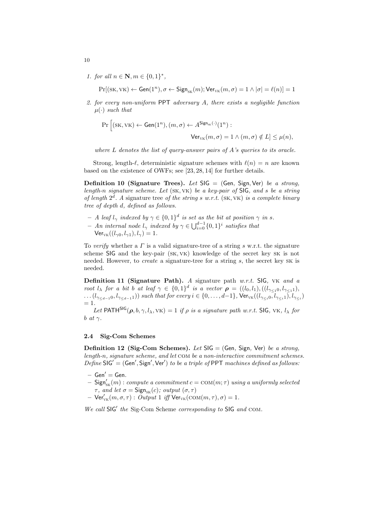1. for all  $n \in \mathbb{N}, m \in \{0,1\}^*$ ,

 $Pr[(\text{SK}, \text{VK}) \leftarrow \textsf{Gen}(1^n), \sigma \leftarrow \textsf{Sign}_{\text{SK}}(m); \textsf{Ver}_{\text{VK}}(m, \sigma) = 1 \land |\sigma| = \ell(n)] = 1$ 

2. for every non-uniform PPT adversary A, there exists a negligible function  $\mu(\cdot)$  such that

$$
\Pr\Big[ (\mathsf{SK}, \mathsf{VK}) \leftarrow \mathsf{Gen}(1^n), (m, \sigma) \leftarrow A^{\mathsf{Sign}_{\mathsf{SK}}(\cdot)}(1^n) : \\ \mathsf{Ver}_{\mathsf{VK}}(m, \sigma) = 1 \land (m, \sigma) \notin L] \leq \mu(n),
$$

where  $L$  denotes the list of query-answer pairs of  $A$ 's queries to its oracle.

Strong, length- $\ell$ , deterministic signature schemes with  $\ell(n) = n$  are known based on the existence of OWFs; see [23, 28, 14] for further details.

**Definition 10 (Signature Trees).** Let  $SIS = (Gen, Sign, Ver)$  be a strong, length-n signature scheme. Let  $(SK, VK)$  be a key-pair of SIG, and s be a string of length  $2^d$ . A signature tree of the string s w.r.t. (SK, VK) is a complete binary tree of depth d, defined as follows.

- $A$  leaf  $l_{\gamma}$  indexed by  $\gamma \in \{0,1\}^d$  is set as the bit at position  $\gamma$  in s.
- $-$  An internal node  $l_{\gamma}$  indexed by  $\gamma \in \bigcup_{i=0}^{d-1} \{0,1\}^i$  satisfies that  $\text{Ver}_{\scriptscriptstyle{\text{VK}}}((l_{\gamma 0}, l_{\gamma 1}), l_{\gamma}) = 1.$

To verify whether a  $\Gamma$  is a valid signature-tree of a string s w.r.t. the signature scheme SIG and the key-pair (sk, vk) knowledge of the secret key sk is not needed. However, to *create* a signature-tree for a string s, the secret key SK is needed.

**Definition 11 (Signature Path).** A signature path w.r.t. SIG, VK and a root  $l_{\lambda}$  for a bit b at leaf  $\gamma \in \{0,1\}^d$  is a vector  $\rho = ((l_0, l_1), ((l_{\gamma \lt 10}, l_{\gamma \lt 11}),$  $\dots (l_{\gamma_{\leq d-1}0},l_{\gamma_{\leq d-1}1}))$  such that for every  $i\in\{0,\dots,d-1\}$ ,  $\mathsf{Ver}_\mathrm{VK}((l_{\gamma_{\leq i}0},l_{\gamma_{\leq i}1}),l_{\gamma_{\leq i}})$  $= 1.$ 

Let PATH<sup>SIG</sup>( $\rho$ ,  $b$ ,  $\gamma$ ,  $l$ <sub> $\lambda$ </sub>,  $v$ K) = 1 if  $\rho$  is a signature path w.r.t. SIG,  $v$ K,  $l$ <sub> $\lambda$ </sub> for b at  $\gamma$ .

### 2.4 Sig-Com Schemes

**Definition 12 (Sig-Com Schemes).** Let  $SIG = (Gen, Sign, Ver)$  be a strong, length-n, signature scheme, and let com be a non-interactive commitment schemes. Define  $\overline{\text{SIG}}' = (\text{Gen}', \text{Sign}', \text{Ver}')$  to be a triple of PPT machines defined as follows:

$$
-\hbox{ Gen}'=\hbox{Gen}.
$$

- $-$  Sign'<sub>SK</sub> $(m)$ : compute a commitment  $c = \text{COM}(m;\tau)$  using a uniformly selected  $\tau$ , and let  $\sigma = \text{Sign}_{SK}(c)$ ; output  $(\sigma, \tau)$
- $\mathsf{Ver}'_{\mathrm{VK}}(m,\sigma,\tau) : \text{Output 1 iff } \mathsf{Ver}_{\mathrm{VK}}(\mathrm{COM}(m,\tau),\sigma) = 1.$

We call SIG' the Sig-Com Scheme corresponding to SIG and COM.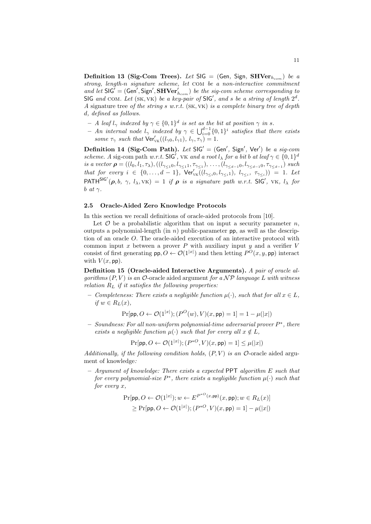**Definition 13 (Sig-Com Trees).** Let  $SIG = (Gen, Sign, SHVer<sub>hcom</sub>)$  be a strong, length-n signature scheme, let com be a non-interactive commitment and let  $\text{SIG}^{\prime} = (\text{Gen}^{\prime}, \text{Sign}^{\prime}, \text{SHVer}_{h_{com}}^{\prime})$  be the sig-com scheme corresponding to SIG and COM. Let  $(SK, VK)$  be a key-pair of SIG', and s be a string of length  $2^d$ . A signature tree of the string s w.r.t.  $(SK, VK)$  is a complete binary tree of depth d, defined as follows.

- $A$  leaf  $l_{\gamma}$  indexed by  $\gamma \in \{0,1\}^d$  is set as the bit at position  $\gamma$  in s.
- $-$  An internal node  $l_{\gamma}$  indexed by  $\gamma \in \bigcup_{i=0}^{d-1} \{0,1\}^i$  satisfies that there exists some  $\tau_{\gamma}$  such that  $\text{Ver}_{\text{VK}}'((l_{\gamma 0}, l_{\gamma 1}), l_{\gamma}, \tau_{\gamma}) = 1.$

**Definition 14 (Sig-Com Path).** Let  $SIG' = (Gen', Sign', Ver')$  be a sig-com scheme. A sig-com path w.r.t.  $\mathsf{SIG}'$ , vk and a root  $l_\lambda$  for a bit b at leaf  $\gamma \in \{0,1\}^d$ is a vector  $\boldsymbol{\rho} = ((l_0, l_1, \tau_{\lambda}), ((l_{\gamma <1 0}, l_{\gamma <1 1}, \tau_{\gamma <1}), ..., (l_{\gamma < d-1} 0, l_{\gamma < d-1} \tau_{\gamma < d-1})$  such that for every  $i \in \{0, ..., d-1\}$ ,  $\overline{\text{Ver}'_{\text{VK}}}(l_{\gamma < i}, l_{\gamma < i}, l_{\gamma < i}, \tau_{\gamma < i})$  = 1. Let PATH<sup>SIG'</sup>  $(\rho, b, \gamma, l_\lambda, \text{vk}) = 1$  if  $\rho$  is a signature path w.r.t. SIG', VK,  $l_\lambda$  for b at  $\gamma$ .

#### 2.5 Oracle-Aided Zero Knowledge Protocols

In this section we recall definitions of oracle-aided protocols from [10].

Let  $\mathcal O$  be a probabilistic algorithm that on input a security parameter n, outputs a polynomial-length (in n) public-parameter **pp**, as well as the description of an oracle O. The oracle-aided execution of an interactive protocol with common input x between a prover P with auxiliary input y and a verifier  $V$ consist of first generating  $pp, O \leftarrow \mathcal{O}(1^{|x|})$  and then letting  $P^{O}(x, y, pp)$  interact with  $V(x, \mathsf{pp})$ .

Definition 15 (Oracle-aided Interactive Arguments). A pair of oracle algorithms  $(P, V)$  is an  $\mathcal{O}$ -oracle aided argument for a  $\mathcal{NP}$  language L with witness relation  $R_L$  if it satisfies the following properties:

– Completeness: There exists a negligible function µ(·), such that for all x ∈ L, if  $w \in R_L(x)$ ,

$$
\Pr[\mathsf{pp}, O \leftarrow \mathcal{O}(1^{|x|}); (P^O(w), V)(x, \mathsf{pp}) = 1] = 1 - \mu(|x|)
$$

 $-$  Soundness: For all non-uniform polynomial-time adversarial prover  $P^*$ , there exists a negligible function  $\mu(\cdot)$  such that for every all  $x \notin L$ ,

$$
\Pr[\mathsf{pp}, O \leftarrow \mathcal{O}(1^{|x|}); (P^{*O}, V)(x, \mathsf{pp}) = 1] \le \mu(|x|)
$$

Additionally, if the following condition holds,  $(P, V)$  is an O-oracle aided argument of knowledge:

 $-$  Argument of knowledge: There exists a expected PPT algorithm  $E$  such that for every polynomial-size  $P^*$ , there exists a negligible function  $\mu(\cdot)$  such that for every x,

$$
\Pr[\mathsf{pp}, O \leftarrow \mathcal{O}(1^{|x|}); w \leftarrow E^{P^{*O}(x, \mathsf{pp})}(x, \mathsf{pp}); w \in R_L(x)]
$$
  
\n
$$
\geq \Pr[\mathsf{pp}, O \leftarrow \mathcal{O}(1^{|x|}); (P^{*O}, V)(x, \mathsf{pp}) = 1] - \mu(|x|)
$$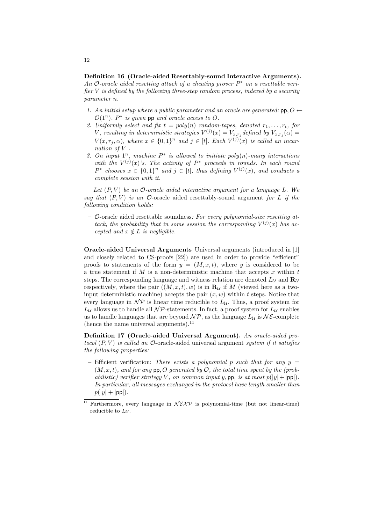Definition 16 (Oracle-aided Resettably-sound Interactive Arguments). An  $O$ -oracle aided resetting attack of a cheating prover  $P^*$  on a resettable verifier  $V$  is defined by the following three-step random process, indexed by a security parameter n.

- 1. An initial setup where a public parameter and an oracle are generated:  $pp, O \leftarrow$  $\mathcal{O}(1^n)$ .  $P^*$  is given pp and oracle access to O.
- 2. Uniformly select and fix  $t = poly(n)$  random-tapes, denoted  $r_1, \ldots, r_t$ , for V, resulting in deterministic strategies  $V^{(j)}(x) = V_{x,r_j}$  defined by  $V_{x,r_j}(\alpha) =$  $V(x, r_j, \alpha)$ , where  $x \in \{0, 1\}^n$  and  $j \in [t]$ . Each  $V^{(j)}(x)$  is called an incarnation of V .
- 3. On input  $1^n$ , machine  $P^*$  is allowed to initiate poly(n)-many interactions with the  $V^{(j)}(x)$ 's. The activity of  $P^*$  proceeds in rounds. In each round  $P^*$  chooses  $x \in \{0,1\}^n$  and  $j \in [t]$ , thus defining  $V^{(j)}(x)$ , and conducts a complete session with it.

Let  $(P, V)$  be an O-oracle aided interactive argument for a language L. We say that  $(P, V)$  is an O-oracle aided resettably-sound argument for L if the following condition holds:

 $-$  O-oracle aided resettable soundness: For every polynomial-size resetting attack, the probability that in some session the corresponding  $V^{(j)}(x)$  has accepted and  $x \notin L$  is negligible.

Oracle-aided Universal Arguments Universal arguments (introduced in [1] and closely related to CS-proofs [22]) are used in order to provide "efficient" proofs to statements of the form  $y = (M, x, t)$ , where y is considered to be a true statement if M is a non-deterministic machine that accepts x within  $t$ steps. The corresponding language and witness relation are denoted  $L_u$  and  $\mathbf{R}_u$ respectively, where the pair  $((M, x, t), w)$  is in  $\mathbf{R}_{\mathcal{U}}$  if M (viewed here as a twoinput deterministic machine) accepts the pair  $(x, w)$  within t steps. Notice that every language in  $\mathcal{NP}$  is linear time reducible to  $L_{\mathcal{U}}$ . Thus, a proof system for  $L_{\mathcal{U}}$  allows us to handle all  $\mathcal{NP}$ -statements. In fact, a proof system for  $L_{\mathcal{U}}$  enables us to handle languages that are beyond  $\mathcal{NP}$ , as the language  $L_{\mathcal{U}}$  is  $\mathcal{NE}\text{-complete}$ (hence the name universal arguments). $^{11}$ 

Definition 17 (Oracle-aided Universal Argument). An oracle-aided protocol  $(P, V)$  is called an  $O$ -oracle-aided universal argument system if it satisfies the following properties:

– Efficient verification: There exists a polynomial p such that for any  $y =$  $(M, x, t)$ , and for any pp, O generated by  $\mathcal{O}$ , the total time spent by the (probabilistic) verifier strategy V, on common input y, pp, is at most  $p(|y|+|pp|)$ . In particular, all messages exchanged in the protocol have length smaller than  $p(|y| + |pp|)$ .

<sup>&</sup>lt;sup>11</sup> Furthermore, every language in  $N \mathcal{E} \mathcal{X} \mathcal{P}$  is polynomial-time (but not linear-time) reducible to  $L_{\mathcal{U}}$ .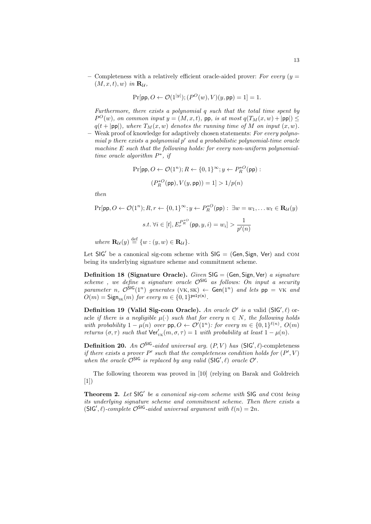– Completeness with a relatively efficient oracle-aided prover: For every  $(y =$  $(M, x, t), w$ ) in  $\mathbf{R}_{\mathcal{U}}$ ,

$$
Pr[pp, O \leftarrow \mathcal{O}(1^{|y|}); (P^{O}(w), V)(y, pp) = 1] = 1.
$$

Furthermore, there exists a polynomial q such that the total time spent by  $P^{O}(w)$ , on common input  $y = (M, x, t)$ , pp, is at most  $q(T_M(x, w) + |pp|) \leq$  $q(t + |pp|)$ , where  $T_M(x, w)$  denotes the running time of M on input  $(x, w)$ .

– Weak proof of knowledge for adaptively chosen statements: For every polyno $mial$  p there exists a polynomial  $p'$  and a probabilistic polynomial-time oracle machine E such that the following holds: for every non-uniform polynomialtime oracle algorithm  $P^*$ , if

$$
Pr[pp, O \leftarrow \mathcal{O}(1^n); R \leftarrow \{0, 1\}^{\infty}; y \leftarrow P_R^{*O}(pp) :
$$

$$
(P_R^{*O}(pp), V(y, pp)) = 1] > 1/p(n)
$$

then

$$
\Pr[\mathsf{pp}, O \leftarrow \mathcal{O}(1^n); R, r \leftarrow \{0, 1\}^{\infty}; y \leftarrow P_R^{*O}(\mathsf{pp}): \exists w = w_1, \dots w_t \in \mathbf{R}_{\mathcal{U}}(y)
$$
\n
$$
s.t. \forall i \in [t], E_r^{P_R^{*O}}(\mathsf{pp}, y, i) = w_i] > \frac{1}{p'(n)}
$$

where  $\mathbf{R}_{\mathcal{U}}(y) \stackrel{\text{def}}{=} \{w : (y, w) \in \mathbf{R}_{\mathcal{U}}\}.$ 

Let  $SIG'$  be a canonical sig-com scheme with  $SIG = (Gen, Sign, Ver)$  and  $COM$ being its underlying signature scheme and commitment scheme.

**Definition 18 (Signature Oracle).** Given  $SIS = (Gen, Sign, Ver)$  a signature scheme, we define a signature oracle  $\mathcal{O}^{SIG}$  as follows: On input a security parameter n,  $\mathcal{O}^{\mathsf{SIG}}(1^n)$  generates (VK, SK)  $\leftarrow$  Gen $(1^n)$  and lets pp = VK and  $O(m) =$  Sign<sub>SK</sub> $(m)$  for every  $m \in \{0, 1\}^{\text{poly}(n)}$ .

Definition 19 (Valid Sig-com Oracle). An oracle  $\mathcal{O}'$  is a valid (SIG',  $\ell$ ) oracle if there is a negligible  $\mu(\cdot)$  such that for every  $n \in N$ , the following holds with probability  $1 - \mu(n)$  over  $pp, O \leftarrow O'(1^n)$ : for every  $m \in \{0, 1\}^{\ell(n)}$ ,  $O(m)$ returns  $(\sigma, \tau)$  such that  $\text{Ver}'_{\text{VK}}(m, \sigma, \tau) = 1$  with probability at least  $1 - \mu(n)$ .

**Definition 20.** An  $\mathcal{O}^{\mathsf{SIG}}$ -aided universal arg.  $(P, V)$  has  $(\mathsf{SIG}', \ell)$ -completeness if there exists a prover  $P'$  such that the completeness condition holds for  $(P', V)$ when the oracle  $\mathcal{O}^{\mathsf{SIG}}$  is replaced by any valid  $(\mathsf{SIG}', \ell)$  oracle  $\mathcal{O}'$ .

The following theorem was proved in [10] (relying on Barak and Goldreich [1])

**Theorem 2.** Let  $SIG'$  be a canonical sig-com scheme with  $SIG$  and  $COM$  being its underlying signature scheme and commitment scheme. Then there exists a  $(SIG', \ell)$ -complete  $\mathcal{O}^{SIG}$ -aided universal argument with  $\ell(n) = 2n$ .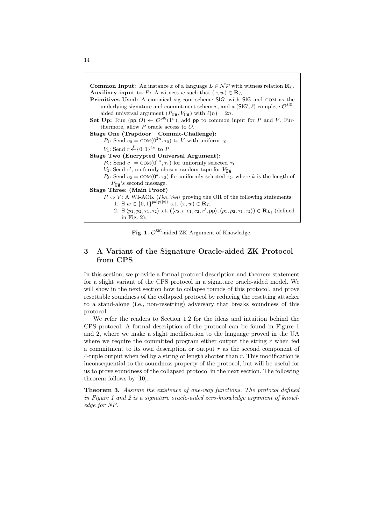

Fig. 1.  $\mathcal{O}^{SIG}$ -aided ZK Argument of Knowledge.

# 3 A Variant of the Signature Oracle-aided ZK Protocol from CPS

In this section, we provide a formal protocol description and theorem statement for a slight variant of the CPS protocol in a signature oracle-aided model. We will show in the next section how to collapse rounds of this protocol, and prove resettable soundness of the collapsed protocol by reducing the resetting attacker to a stand-alone (i.e., non-resetting) adversary that breaks soundness of this protocol.

We refer the readers to Section 1.2 for the ideas and intuition behind the CPS protocol. A formal description of the protocol can be found in Figure 1 and 2, where we make a slight modification to the language proved in the UA where we require the committed program either output the string  $r$  when fed a commitment to its own description or output  $r$  as the second component of 4-tuple output when fed by a string of length shorter than  $r$ . This modification is inconsequential to the soundness property of the protocol, but will be useful for us to prove soundness of the collapsed protocol in the next section. The following theorem follows by [10].

Theorem 3. Assume the existence of one-way functions. The protocol defined in Figure 1 and 2 is a signature oracle-aided zero-knowledge argument of knowledge for NP.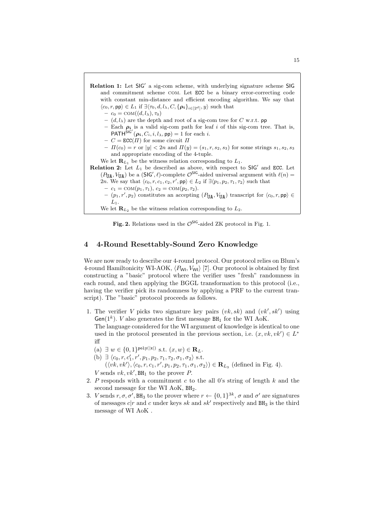Relation 1: Let SIG' a sig-com scheme, with underlying signature scheme SIG and commitment scheme com. Let ECC be a binary error-correcting code with constant min-distance and efficient encoding algorithm. We say that  $\langle c_0, r, \mathsf{pp} \rangle \in L_1$  if  $\exists \langle \tau_0, d, l_\lambda, C, {\{\pmb{\rho_i}\}}_{i \in [2^d]}, y \rangle$  such that  $-c_0 = \text{COM}((d, l_\lambda), \tau_0)$ –  $(d, l_\lambda)$  are the depth and root of a sig-com tree for C w.r.t. pp – Each  $\rho_i$  is a valid sig-com path for leaf i of this sig-com tree. That is, PATH<sup>SIG'</sup>  $(\rho_i, C_i, i, l_\lambda, \text{pp}) = 1$  for each i.  $-C = ECC(\Pi)$  for some circuit  $\Pi$  $-I\,(c_0) = r$  or  $|y| < 2n$  and  $\Pi(y) = (s_1, r, s_2, s_3)$  for some strings  $s_1, s_2, s_3$ and appropriate encoding of the 4-tuple. We let  $\mathbf{R}_{L_1}$  be the witness relation corresponding to  $L_1$ . **Relation 2:** Let  $L_1$  be described as above, with respect to  $SIG'$  and ECC. Let  $(P_{\text{UA}}, V_{\text{UA}})$  be a  $(\text{SIG}', \ell)$ -complete  $\mathcal{O}^{\text{SIG}}$ -aided universal argument with  $\ell(n)$  = 2n. We say that  $\langle c_0, r, c_1, c_2, r', \mathsf{pp} \rangle \in L_2$  if  $\exists \langle p_1, p_2, \tau_1, \tau_2 \rangle$  such that  $-c_1 = \text{COM}(p_1, \tau_1), c_2 = \text{COM}(p_2, \tau_2).$ –  $(p_1, r', p_2)$  constitutes an accepting  $(P_{\text{UA}}, V_{\text{UA}})$  transcript for  $\langle c_0, r, \text{pp} \rangle$  ∈  $L_1$ . We let  $\mathbf{R}_{L_2}$  be the witness relation corresponding to  $L_2$ .

Fig. 2. Relations used in the  $\mathcal{O}^{\text{SIG}}$ -aided ZK protocol in Fig. 1.

# 4 4-Round Resettably-Sound Zero Knowledge

We are now ready to describe our 4-round protocol. Our protocol relies on Blum's 4-round Hamiltonicity WI-AOK,  $\langle P_{\mathsf{W1}}, V_{\mathsf{W1}} \rangle$  [7]. Our protocol is obtained by first constructing a "basic" protocol where the verifier uses "fresh" randomness in each round, and then applying the BGGL transformation to this protocol (i.e., having the verifier pick its randomness by applying a PRF to the current transcript). The "basic" protocol proceeds as follows.

- 1. The verifier V picks two signature key pairs  $(vk, sk)$  and  $(vk', sk')$  using Gen( $1^k$ ). *V* also generates the first message  $BH_1$  for the WI AoK. The language considered for the WI argument of knowledge is identical to one used in the protocol presented in the previous section, i.e.  $(x, vk, vk') \in L^*$ iff
	- (a) ∃  $w \in \{0,1\}^{\text{poly}(|x|)}$  s.t.  $(x, w) \in \mathbf{R}_L$ .
	- (b)  $\exists \langle c_0, r, c'_1, r', p_1, p_2, \tau_1, \tau_2, \sigma_1, \sigma_2 \rangle$  s.t.

 $(\langle vk, vk'\rangle, \langle c_0, r, c_1, r', p_1, p_2, \tau_1, \sigma_1, \sigma_2 \rangle) \in \mathbf{R}_{L_3}$  (defined in Fig. 4).  $V$  sends  $vk, vk', BH_1$  to the prover  $P$ .

- 2. P responds with a commitment c to the all 0's string of length  $k$  and the second message for the WI AoK, BH<sub>2</sub>.
- 3. V sends  $r, \sigma, \sigma'$ , BH<sub>3</sub> to the prover where  $r \leftarrow \{0, 1\}^{3k}, \sigma$  and  $\sigma'$  are signatures of messages  $c|r$  and c under keys sk and sk' respectively and BH<sub>3</sub> is the third message of WI AoK .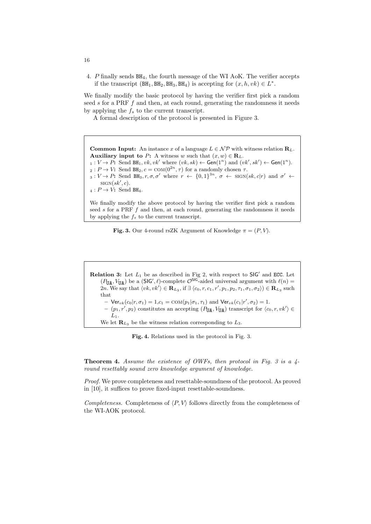4. P finally sends BH4, the fourth message of the WI AoK. The verifier accepts if the transcript  $(BH_1, BH_2, BH_3, BH_4)$  is accepting for  $(x, h, vk) \in L^*$ .

We finally modify the basic protocol by having the verifier first pick a random seed s for a PRF  $f$  and then, at each round, generating the randomness it needs by applying the  $f_s$  to the current transcript.

A formal description of the protocol is presented in Figure 3.

**Common Input:** An instance x of a language  $L \in \mathcal{NP}$  with witness relation  $\mathbf{R}_L$ . Auxiliary input to P: A witness w such that  $(x, w) \in \mathbf{R}_L$ .  $1: V \to P$ : Send BH<sub>1</sub>, vk, vk' where  $(vk, sk) \leftarrow$  Gen $(1^n)$  and  $(vk', sk') \leftarrow$  Gen $(1^n)$ .  $_2: P \to V$ : Send BH<sub>2</sub>,  $c = \text{COM}(0^{2n}, \tau)$  for a randomly chosen  $\tau$ .  $_3: V \to P$ : Send BH<sub>3</sub>,  $r, \sigma, \sigma'$  where  $r \leftarrow \{0, 1\}^{3n}, \sigma \leftarrow \text{SIGN}(sk, c|r)$  and  $\sigma' \leftarrow$  $sign(sk', c)$ .  $_4: P \rightarrow V:$  Send BH<sub>4</sub>. We finally modify the above protocol by having the verifier first pick a random seed  $s$  for a PRF  $f$  and then, at each round, generating the randomness it needs

Fig. 3. Our 4-round rsZK Argument of Knowledge  $\pi = (P, V)$ .

by applying the  $f_s$  to the current transcript.

**Relation 3:** Let  $L_1$  be as described in Fig 2, with respect to  $SIG'$  and ECC. Let  $(P_{\text{UA}}, V_{\text{UA}})$  be a  $(\text{SIG}', \ell)$ -complete  $\mathcal{O}^{\text{SIG}}$ -aided universal argument with  $\ell(n)$  = 2n. We say that  $\langle vk, vk'\rangle \in \mathbf{R}_{L_3}$ , if  $\exists \langle c_0, r, c_1, r', p_1, p_2, \tau_1, \sigma_1, \sigma_2 \rangle \in \mathbf{R}_{L_3}$  such that  $- \text{ Ver}_{vk}(c_0|r, \sigma_1) = 1, c_1 = \text{COM}(p_1|\sigma_1, \tau_1) \text{ and } \text{Ver}_{vk}(c_1|r', \sigma_2) = 1.$  $(p_1, r', p_2)$  constitutes an accepting  $(P_{\text{UA}}, V_{\text{UA}})$  transcript for  $\langle c_0, r, v k' \rangle \in$  $L_1$ . We let  $\mathbf{R}_{L_3}$  be the witness relation corresponding to  $L_3$ .

Fig. 4. Relations used in the protocol in Fig. 3.

**Theorem 4.** Assume the existence of OWFs, then protocol in Fig. 3 is a  $\downarrow$ round resettably sound zero knowledge argument of knowledge.

Proof. We prove completeness and resettable-soundness of the protocol. As proved in [10], it suffices to prove fixed-input resettable-soundness.

Completeness. Completeness of  $\langle P, V \rangle$  follows directly from the completeness of the WI-AOK protocol.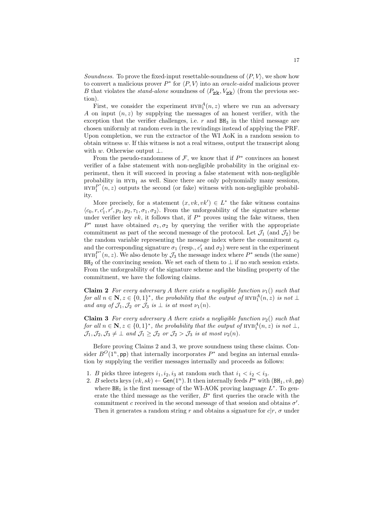Soundness. To prove the fixed-input resettable-soundness of  $\langle P, V \rangle$ , we show how to convert a malicious prover  $P^*$  for  $\langle P, V \rangle$  into an *oracle-aided* malicious prover B that violates the *stand-alone* soundness of  $\langle P_{\mathbf{z}k}, V_{\mathbf{z}k} \rangle$  (from the previous section).

First, we consider the experiment  $HVB_1^A(n, z)$  where we run an adversary A on input  $(n, z)$  by supplying the messages of an honest verifier, with the exception that the verifier challenges, i.e.  $r$  and  $BH<sub>3</sub>$  in the third message are chosen uniformly at random even in the rewindings instead of applying the PRF. Upon completion, we run the extractor of the WI AoK in a random session to obtain witness  $w$ . If this witness is not a real witness, output the transcript along with w. Otherwise output  $\perp$ .

From the pseudo-randomness of  $\mathcal{F}$ , we know that if  $P^*$  convinces an honest verifier of a false statement with non-negligible probability in the original experiment, then it will succeed in proving a false statement with non-negligible probability in  $HYB_1$  as well. Since there are only polynomially many sessions,  $HYB_1^{P^*}(n, z)$  outputs the second (or fake) witness with non-negligible probability.

More precisely, for a statement  $(x, vk, vk') \in L^*$  the fake witness contains  $\langle c_0, r, c_1', r', p_1, p_2, \tau_1, \sigma_1, \sigma_2 \rangle$ . From the unforgeability of the signature scheme under verifier key  $vk$ , it follows that, if  $P^*$  proves using the fake witness, then  $P^*$  must have obtained  $\sigma_1, \sigma_2$  by querying the verifier with the appropriate commitment as part of the second message of the protocol. Let  $\mathcal{J}_1$  (and  $\mathcal{J}_2$ ) be the random variable representing the message index where the commitment  $c_0$ and the corresponding signature  $\sigma_1$  (resp.,  $c'_1$  and  $\sigma_2$ ) were sent in the experiment  $HYB_1^{P^*}(n, z)$ . We also denote by  $\mathcal{J}_3$  the message index where  $P^*$  sends (the same)  $BH<sub>2</sub>$  of the convincing session. We set each of them to  $\perp$  if no such session exists. From the unforgeability of the signature scheme and the binding property of the commitment, we have the following claims.

**Claim 2** For every adversary A there exists a negligible function  $\nu_1$ () such that for all  $n \in \mathbb{N}, z \in \{0,1\}^*$ , the probability that the output of  $HYB_1^A(n,z)$  is not  $\perp$ and any of  $\mathcal{J}_1, \mathcal{J}_2$  or  $\mathcal{J}_3$  is  $\perp$  is at most  $\nu_1(n)$ .

**Claim 3** For every adversary A there exists a negligible function  $\nu_2$ () such that for all  $n \in \mathbb{N}, z \in \{0,1\}^*$ , the probability that the output of  $HYB_1^A(n,z)$  is not  $\perp$ ,  $\mathcal{J}_1,\mathcal{J}_2,\mathcal{J}_3\neq \bot$  and  $\mathcal{J}_1\geq \mathcal{J}_2$  or  $\mathcal{J}_2>\mathcal{J}_3$  is at most  $\nu_2(n)$ .

Before proving Claims 2 and 3, we prove soundness using these claims. Consider  $B^{O}(1^{n}, \text{pp})$  that internally incorporates  $P^*$  and begins an internal emulation by supplying the verifier messages internally and proceeds as follows:

- 1. B picks three integers  $i_1, i_2, i_3$  at random such that  $i_1 < i_2 < i_3$ .
- 2. B selects keys  $(vk, sk) \leftarrow$  Gen $(1^n)$ . It then internally feeds  $P^*$  with  $(BH_1, vk, pp)$ where  $BH<sub>1</sub>$  is the first message of the WI-AOK proving language  $L^*$ . To generate the third message as the verifier,  $B^*$  first queries the oracle with the commitment c received in the second message of that session and obtains  $\sigma'$ . Then it generates a random string r and obtains a signature for  $c|r, \sigma$  under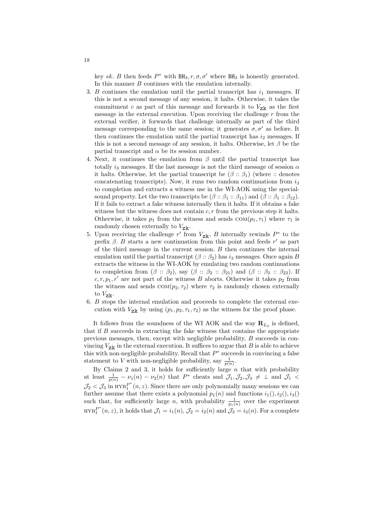key sk. B then feeds  $P^*$  with  $BH_3, r, \sigma, \sigma'$  where  $BH_3$  is honestly generated. In this manner B continues with the emulation internally.

- 3. B continues the emulation until the partial transcript has  $i_1$  messages. If this is not a second message of any session, it halts. Otherwise, it takes the commitment c as part of this message and forwards it to  $V_{\rm zk}$  as the first message in the external execution. Upon receiving the challenge  $r$  from the external verifier, it forwards that challenge internally as part of the third message corresponding to the same session; it generates  $\sigma, \sigma'$  as before. It then continues the emulation until the partial transcript has  $i_2$  messages. If this is not a second message of any session, it halts. Otherwise, let  $\beta$  be the partial transcript and  $\alpha$  be its session number.
- 4. Next, it continues the emulation from  $\beta$  until the partial transcript has totally  $i_3$  messages. If the last message is not the third message of session  $\alpha$ it halts. Otherwise, let the partial transcript be  $(\beta : \beta_1)$  (where :: denotes concatenating transcripts). Now, it runs two random continuations from  $i_3$ to completion and extracts a witness use in the WI-AOK using the specialsound property. Let the two transcripts be  $(\beta :: \beta_1 :: \beta_{11})$  and  $(\beta :: \beta_1 :: \beta_{12})$ . If it fails to extract a fake witness internally then it halts. If it obtains a fake witness but the witness does not contain  $c, r$  from the previous step it halts. Otherwise, it takes  $p_1$  from the witness and sends  $COM(p_1, \tau_1)$  where  $\tau_1$  is randomly chosen externally to  $V_{\mathbf{z}k}$ .
- 5. Upon receiving the challenge r' from  $V_{\mathbf{z}k}$ , B internally rewinds  $P^*$  to the prefix  $\beta$ . B starts a new continuation from this point and feeds r' as part of the third message in the current session.  $B$  then continues the internal emulation until the partial transcript  $(\beta : \beta_2)$  has  $i_3$  messages. Once again B extracts the witness in the WI-AOK by emulating two random continuations to completion from  $(\beta :: \beta_2)$ , say  $(\beta :: \beta_2 :: \beta_{21})$  and  $(\beta :: \beta_2 :: \beta_{22})$ . If  $c, r, p_1, r'$  are not part of the witness B aborts. Otherwise it takes  $p_2$  from the witness and sends  $COM(p_2, \tau_2)$  where  $\tau_2$  is randomly chosen externally to  $V_{\mathbf{z}k}$ .
- 6. B stops the internal emulation and proceeds to complete the external execution with  $V_{\mathbf{Z}k}$  by using  $(p_1, p_2, \tau_1, \tau_2)$  as the witness for the proof phase.

It follows from the soundness of the WI AOK and the way  $\mathbf{R}_{L_3}$  is defined, that if  $B$  succeeds in extracting the fake witness that contains the appropriate previous messages, then, except with negligible probability, B succeeds in convincing  $V_{\mathbf{z}\mathbf{k}}$  in the external execution. It suffices to argue that B is able to achieve this with non-negligible probability. Recall that  $P^*$  succeeds in convincing a false statement to V with non-negligible probability, say  $\frac{1}{p(n)}$ .

By Claims 2 and 3, it holds for sufficiently large  $n$  that with probability at least  $\frac{1}{p(n)} - \nu_1(n) - \nu_2(n)$  that  $P^*$  cheats and  $\mathcal{J}_1, \mathcal{J}_2, \mathcal{J}_3 \neq \perp$  and  $\mathcal{J}_1$  $\mathcal{J}_2 < \mathcal{J}_3$  in  $HVB_1^{P^*}(n, z)$ . Since there are only polynomially many sessions we can further assume that there exists a polynomial  $p_1(n)$  and functions  $i_1(), i_2(), i_3()$ such that, for sufficiently large n, with probability  $\frac{1}{p_1(n)}$  over the experiment  $HYB_1^{P^*}(n, z)$ , it holds that  $\mathcal{J}_1 = i_1(n), \mathcal{J}_2 = i_2(n)$  and  $\mathcal{J}_3 = i_3(n)$ . For a complete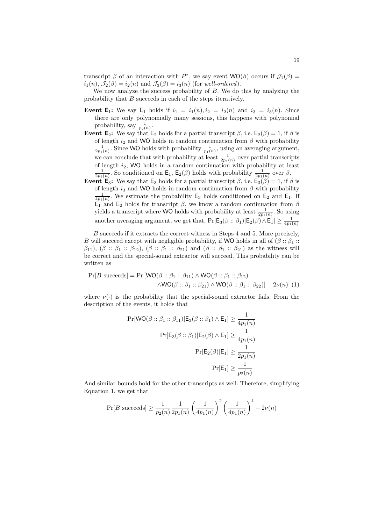transcript  $\beta$  of an interaction with  $P^*$ , we say event  $\mathsf{WO}(\beta)$  occurs if  $\mathcal{J}_1(\beta) =$  $i_1(n)$ ,  $\mathcal{J}_2(\beta) = i_2(n)$  and  $\mathcal{J}_3(\beta) = i_3(n)$  (for well-ordered).

We now analyze the success probability of  $B$ . We do this by analyzing the probability that B succeeds in each of the steps iteratively.

- Event  $\mathsf{E}_1$ : We say  $\mathsf{E}_1$  holds if  $i_1 = i_1(n), i_2 = i_2(n)$  and  $i_3 = i_3(n)$ . Since there are only polynomially many sessions, this happens with polynomial probability, say  $\frac{1}{p_2(n)}$ .
- Event  $\mathsf{E}_2$ : We say that  $\mathsf{E}_2$  holds for a partial transcript  $\beta$ , i.e.  $\mathsf{E}_2(\beta) = 1$ , if  $\beta$  is of length  $i_2$  and WO holds in random continuation from  $\beta$  with probability  $\frac{1}{2p_1(n)}$ . Since WO holds with probability  $\frac{1}{p_1(n)}$ , using an averaging argument, we can conclude that with probability at least  $\frac{1}{2p_1(n)}$  over partial transcripts of length  $i_2$ , WO holds in a random continuation with probability at least  $\frac{1}{2p_1(n)}$ . So conditioned on  $\mathsf{E}_1$ ,  $\mathsf{E}_2(\beta)$  holds with probability  $\frac{1}{2p_1(n)}$  over  $\beta$ .
- Event  $\mathbf{\tilde{E}}_3$ : We say that  $\mathbf{E}_3$  holds for a partial transcript  $\beta$ , i.e.  $\mathbf{\tilde{E}}_3(\beta) = 1$ , if  $\beta$  is of length  $i_3$  and WO holds in random continuation from  $\beta$  with probability  $\frac{1}{4p_1(n)}$ . We estimate the probability  $\mathsf{E}_3$  holds conditioned on  $\mathsf{E}_2$  and  $\mathsf{E}_1$ . If  $\mathsf{E}_1$  and  $\mathsf{E}_2$  holds for transcript  $\beta$ , we know a random continuation from  $\beta$ yields a transcript where WO holds with probability at least  $\frac{1}{2p_1(n)}$ . So using another averaging argument, we get that,  $Pr[E_3(\beta : \beta_1)|E_2(\beta) \wedge E_1] \geq \frac{1}{4p_1(n)}$

B succeeds if it extracts the correct witness in Steps 4 and 5. More precisely, B will succeed except with negligible probability, if WO holds in all of  $(\beta : \beta_1 : \beta_2)$  $(\beta_{11}),$   $(\beta :: \beta_1 :: \beta_{12}),$   $(\beta :: \beta_1 :: \beta_{21})$  and  $(\beta :: \beta_1 :: \beta_{21})$  as the witness will be correct and the special-sound extractor will succeed. This probability can be written as

$$
\Pr[B \text{ succeeds}] = \Pr[\text{WO}(\beta :: \beta_1 :: \beta_{11}) \land \text{WO}(\beta :: \beta_1 :: \beta_{12})
$$

$$
\land \text{WO}(\beta :: \beta_1 :: \beta_{21}) \land \text{WO}(\beta :: \beta_1 :: \beta_{22})] - 2\nu(n) \tag{1}
$$

where  $\nu(\cdot)$  is the probability that the special-sound extractor fails. From the description of the events, it holds that

$$
\Pr[\text{WO}(\beta::\beta_1::\beta_{11})|\mathsf{E}_3(\beta::\beta_1) \land \mathsf{E}_1] \ge \frac{1}{4p_1(n)}
$$

$$
\Pr[\mathsf{E}_3(\beta::\beta_1)|\mathsf{E}_2(\beta) \land \mathsf{E}_1] \ge \frac{1}{4p_1(n)}
$$

$$
\Pr[\mathsf{E}_2(\beta)|\mathsf{E}_1] \ge \frac{1}{2p_1(n)}
$$

$$
\Pr[\mathsf{E}_1] \ge \frac{1}{p_2(n)}
$$

And similar bounds hold for the other transcripts as well. Therefore, simplifying Equation 1, we get that

$$
\Pr[B \text{ succeeds}] \ge \frac{1}{p_2(n)} \frac{1}{2p_1(n)} \left(\frac{1}{4p_1(n)}\right)^2 \left(\frac{1}{4p_1(n)}\right)^4 - 2\nu(n)
$$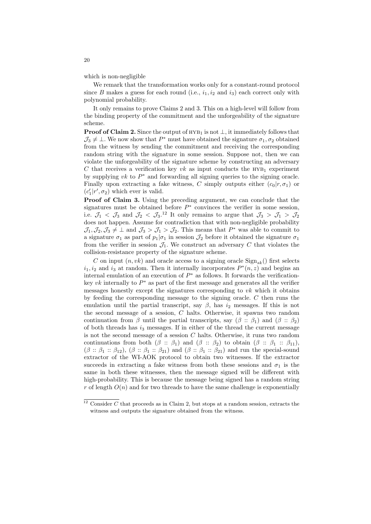which is non-negligible

We remark that the transformation works only for a constant-round protocol since B makes a guess for each round (i.e.,  $i_1, i_2$  and  $i_3$ ) each correct only with polynomial probability.

It only remains to prove Claims 2 and 3. This on a high-level will follow from the binding property of the commitment and the unforgeability of the signature scheme.

**Proof of Claim 2.** Since the output of  $HYB_1$  is not  $\perp$ , it immediately follows that  $\mathcal{J}_3 \neq \bot$ . We now show that  $P^*$  must have obtained the signature  $\sigma_1, \sigma_2$  obtained from the witness by sending the commitment and receiving the corresponding random string with the signature in some session. Suppose not, then we can violate the unforgeability of the signature scheme by constructing an adversary C that receives a verification key vk as input conducts the  $HYB_1$  experiment by supplying  $vk$  to  $P^*$  and forwarding all signing queries to the signing oracle. Finally upon extracting a fake witness, C simply outputs either  $(c_0|r, \sigma_1)$  or  $(c'_1|r', \sigma_2)$  which ever is valid.

Proof of Claim 3. Using the preceding argument, we can conclude that the signatures must be obtained before  $P^*$  convinces the verifier in some session, i.e.  $\mathcal{J}_1 < \mathcal{J}_3$  and  $\mathcal{J}_2 < \mathcal{J}_3$ .<sup>12</sup> It only remains to argue that  $\mathcal{J}_3 > \mathcal{J}_1 > \mathcal{J}_2$ does not happen. Assume for contradiction that with non-negligible probability  $\mathcal{J}_1, \mathcal{J}_2, \mathcal{J}_3 \neq \perp$  and  $\mathcal{J}_3 > \mathcal{J}_1 > \mathcal{J}_2$ . This means that  $P^*$  was able to commit to a signature  $\sigma_1$  as part of  $p_1|\sigma_1$  in session  $\mathcal{J}_2$  before it obtained the signature  $\sigma_1$ from the verifier in session  $\mathcal{J}_1$ . We construct an adversary C that violates the collision-resistance property of the signature scheme.

C on input  $(n, vk)$  and oracle access to a signing oracle  $\text{Sign}_{sk}()$  first selects  $i_1, i_2$  and  $i_3$  at random. Then it internally incorporates  $P^*(n, z)$  and begins an internal emulation of an execution of  $P^*$  as follows. It forwards the verificationkey  $vk$  internally to  $P^*$  as part of the first message and generates all the verifier messages honestly except the signatures corresponding to  $vk$  which it obtains by feeding the corresponding message to the signing oracle. C then runs the emulation until the partial transcript, say  $\beta$ , has  $i_2$  messages. If this is not the second message of a session, C halts. Otherwise, it spawns two random continuation from  $\beta$  until the partial transcripts, say  $(\beta :: \beta_1)$  and  $(\beta :: \beta_2)$ of both threads has  $i_3$  messages. If in either of the thread the current message is not the second message of a session C halts. Otherwise, it runs two random continuations from both  $(\beta :: \beta_1)$  and  $(\beta :: \beta_2)$  to obtain  $(\beta :: \beta_1 :: \beta_{11}),$  $(\beta :: \beta_1 :: \beta_{12}), (\beta :: \beta_1 :: \beta_{21})$  and  $(\beta :: \beta_1 :: \beta_{21})$  and run the special-sound extractor of the WI-AOK protocol to obtain two witnesses. If the extractor succeeds in extracting a fake witness from both these sessions and  $\sigma_1$  is the same in both these witnesses, then the message signed will be different with high-probability. This is because the message being signed has a random string r of length  $O(n)$  and for two threads to have the same challenge is exponentially

 $12$  Consider C that proceeds as in Claim 2, but stops at a random session, extracts the witness and outputs the signature obtained from the witness.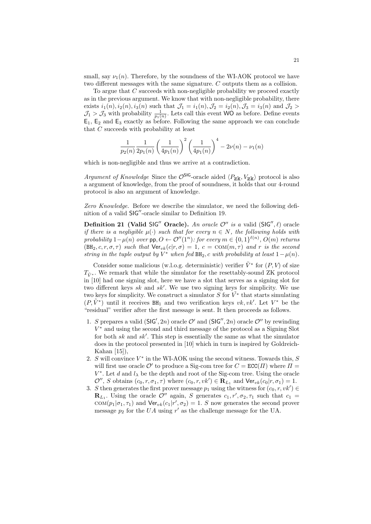small, say  $\nu_1(n)$ . Therefore, by the soundness of the WI-AOK protocol we have two different messages with the same signature. C outputs them as a collision.

To argue that  $C$  succeeds with non-negligible probability we proceed exactly as in the previous argument. We know that with non-negligible probability, there exists  $i_1(n), i_2(n), i_3(n)$  such that  $\mathcal{J}_1 = i_1(n), \mathcal{J}_2 = i_2(n), \mathcal{J}_3 = i_3(n)$  and  $\mathcal{J}_2 >$  $\mathcal{J}_1 > \mathcal{J}_3$  with probability  $\frac{1}{p_1(n)}$ . Lets call this event WO as before. Define events  $E_1$ ,  $E_2$  and  $E_3$  exactly as before. Following the same approach we can conclude that C succeeds with probability at least

$$
\frac{1}{p_2(n)}\frac{1}{2p_1(n)}\left(\frac{1}{4p_1(n)}\right)^2\left(\frac{1}{4p_1(n)}\right)^4 - 2\nu(n) - \nu_1(n)
$$

which is non-negligible and thus we arrive at a contradiction.

Argument of Knowledge Since the  $\mathcal{O}^{\mathsf{SIG}}$ -oracle aided  $\langle P_{\mathsf{Zk}}, V_{\mathsf{Zk}} \rangle$  protocol is also a argument of knowledge, from the proof of soundness, it holds that our 4-round protocol is also an argument of knowledge.

Zero Knowledge. Before we describe the simulator, we need the following definition of a valid  $\mathsf{SIG}''$ -oracle similar to Definition 19.

**Definition 21 (Valid SIG<sup>"</sup> Oracle).** An oracle  $\mathcal{O}''$  is a valid (SIG",  $\ell$ ) oracle if there is a negligible  $\mu(\cdot)$  such that for every  $n \in N$ , the following holds with probability  $1-\mu(n)$  over  $pp, O \leftarrow \mathcal{O}''(1^n)$ : for every  $m \in \{0,1\}^{\ell(n)}, O(m)$  returns  $(BH_2, c, r, \sigma, \tau)$  such that  $\text{Ver}_{vk}(c|r, \sigma) = 1$ ,  $c = \text{COM}(m, \tau)$  and r is the second string in the tuple output by  $V^*$  when fed BH<sub>2</sub>, c with probability at least  $1-\mu(n)$ .

Consider some malicious (w.l.o.g. deterministic) verifier  $\tilde{V}^*$  for  $(P, V)$  of size  $T_{\tilde{\mathbf{v}}^*}$ . We remark that while the simulator for the resettably-sound ZK protocol in [10] had one signing slot, here we have a slot that serves as a signing slot for two different keys  $sk$  and  $sk'$ . We use two signing keys for simplicity. We use two keys for simplicity. We construct a simulator S for  $V^*$  that starts simulating  $(P, \tilde{V}^*)$  until it receives BH<sub>1</sub> and two verification keys vk, vk'. Let V<sup>\*</sup> be the "residual" verifier after the first message is sent. It then proceeds as follows.

- 1. S prepares a valid  $(SIG', 2n)$  oracle  $\mathcal{O}'$  and  $(SIG'', 2n)$  oracle  $\mathcal{O}''$  by rewinding V <sup>∗</sup> and using the second and third message of the protocol as a Signing Slot for both  $sk$  and  $sk'$ . This step is essentially the same as what the simulator does in the protocol presented in [10] which in turn is inspired by Goldreich-Kahan [15]),
- 2. S will convince  $V^*$  in the WI-AOK using the second witness. Towards this, S will first use oracle  $\mathcal{O}'$  to produce a Sig-com tree for  $C = \text{ECC}(\Pi)$  where  $\Pi$  $V^*$ . Let d and  $l_\lambda$  be the depth and root of the Sig-com tree. Using the oracle  $\mathcal{O}'', S$  obtains  $(c_0, r, \sigma_1, \tau)$  where  $(c_0, r, vk') \in \mathbf{R}_{L_1}$  and  $\mathsf{Ver}_{vk}(c_0|r, \sigma_1) = 1$ .
- 3. S then generates the first prover message  $p_1$  using the witness for  $(c_0, r, vk') \in$  $\mathbf{R}_{L_1}$ . Using the oracle  $\mathcal{O}''$  again, S generates  $c_1, r', \sigma_2, \tau_1$  such that  $c_1 =$  $COM(p_1|\sigma_1, \tau_1)$  and  $\text{Ver}_{vk}(c_1|r', \sigma_2) = 1$ . S now generates the second prover message  $p_2$  for the UA using r' as the challenge message for the UA.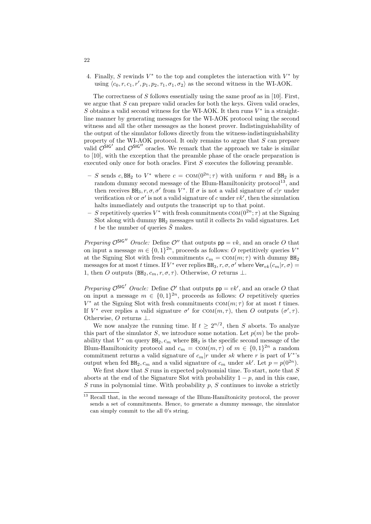4. Finally, S rewinds  $V^*$  to the top and completes the interaction with  $V^*$  by using  $\langle c_0, r, c_1, r', p_1, p_2, \tau_1, \sigma_1, \sigma_2 \rangle$  as the second witness in the WI-AOK.

The correctness of S follows essentially using the same proof as in [10]. First, we argue that  $S$  can prepare valid oracles for both the keys. Given valid oracles, S obtains a valid second witness for the WI-AOK. It then runs  $V^*$  in a straightline manner by generating messages for the WI-AOK protocol using the second witness and all the other messages as the honest prover. Indistinguishability of the output of the simulator follows directly from the witness-indistinguishability property of the WI-AOK protocol. It only remains to argue that S can prepare valid  $\mathcal{O}^{\mathsf{SIG}'}$  and  $\mathcal{O}^{\mathsf{SIG}''}$  oracles. We remark that the approach we take is similar to [10], with the exception that the preamble phase of the oracle preparation is executed only once for both oracles. First S executes the following preamble.

- S sends c, BH<sub>2</sub> to  $V^*$  where  $c = \text{COM}(0^{2n}; \tau)$  with uniform  $\tau$  and BH<sub>2</sub> is a random dummy second message of the Blum-Hamiltonicity protocol<sup>13</sup>, and then receives  $BH_3, r, \sigma, \sigma'$  from  $V^*$ . If  $\sigma$  is not a valid signature of  $c|r$  under verification  $vk$  or  $\sigma'$  is not a valid signature of c under  $vk'$ , then the simulation halts immediately and outputs the transcript up to that point.
- S repetitively queries  $V^*$  with fresh commitments  $COM(0^{2n}; \tau)$  at the Signing Slot along with dummy  $BH<sub>2</sub>$  messages until it collects  $2n$  valid signatures. Let t be the number of queries  $\tilde{S}$  makes.

Preparing  $\mathcal{O}^{\mathsf{SIG}''}$  Oracle: Define  $\mathcal{O}''$  that outputs  $pp = vk$ , and an oracle O that on input a message  $m \in \{0,1\}^{2n}$ , proceeds as follows: O repetitively queries  $V^*$ at the Signing Slot with fresh commitments  $c_m = \text{COM}(m; \tau)$  with dummy  $BH_2$ messages for at most t times. If  $V^*$  ever replies  $BH_3, r, \sigma, \sigma'$  where  $\text{Ver}_{vk}(c_m|r, \sigma)$  = 1, then O outputs (BH<sub>2</sub>,  $c_m$ ,  $r$ ,  $\sigma$ ,  $\tau$ ). Otherwise, O returns ⊥.

Preparing  $\mathcal{O}^{\mathsf{SIG}'}$  Oracle: Define  $\mathcal{O}'$  that outputs  $pp = vk'$ , and an oracle O that on input a message  $m \in \{0,1\}^{2n}$ , proceeds as follows: O repetitively queries  $V^*$  at the Signing Slot with fresh commitments  $COM(m; \tau)$  for at most t times. If  $V^*$  ever replies a valid signature  $\sigma'$  for  $COM(m, \tau)$ , then O outputs  $(\sigma', \tau)$ . Otherwise, O returns  $\perp$ .

We now analyze the running time. If  $t \geq 2^{n/2}$ , then S aborts. To analyze this part of the simulator S, we introduce some notation. Let  $p(m)$  be the probability that  $V^*$  on query  $BH_2$ ,  $c_m$  where  $BH_2$  is the specific second message of the Blum-Hamiltonicity protocol and  $c_m = \text{COM}(m, \tau)$  of  $m \in \{0, 1\}^{2n}$  a random commitment returns a valid signature of  $c_m|r$  under sk where r is part of  $V^*$ 's output when fed  $BH_2$ ,  $c_m$  and a valid signature of  $c_m$  under  $sk'$ . Let  $p = p(0^{2n})$ .

We first show that  $S$  runs in expected polynomial time. To start, note that  $S$ aborts at the end of the Signature Slot with probability  $1 - p$ , and in this case, S runs in polynomial time. With probability p, S continues to invoke a strictly

<sup>&</sup>lt;sup>13</sup> Recall that, in the second message of the Blum-Hamiltonicity protocol, the prover sends a set of commitments. Hence, to generate a dummy message, the simulator can simply commit to the all 0's string.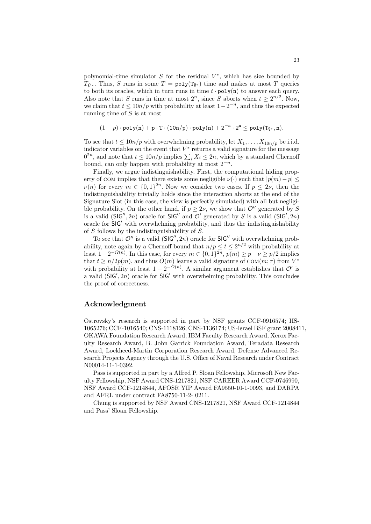polynomial-time simulator  $S$  for the residual  $V^*$ , which has size bounded by  $T_{\tilde{V}^*}$ . Thus, S runs in some  $T = \text{poly}(T_{\tilde{V}^*})$  time and makes at most T queries to both its oracles, which in turn runs in time  $t \cdot \text{poly}(n)$  to answer each query. Also note that S runs in time at most  $2^n$ , since S aborts when  $t \geq 2^{n/2}$ . Now, we claim that  $t \leq 10n/p$  with probability at least  $1-2^{-n}$ , and thus the expected running time of  $S$  is at most

$$
(1-p)\cdot \text{poly}(n)+p\cdot T\cdot (10n/p)\cdot \text{poly}(n)+2^{-n}\cdot 2^n\leq \text{poly}(T_{\tilde{V}^*},n).
$$

To see that  $t \leq 10n/p$  with overwhelming probability, let  $X_1, \ldots, X_{10n/p}$  be i.i.d. indicator variables on the event that  $V^*$  returns a valid signature for the message  $0^{2n}$ , and note that  $t \leq 10n/p$  implies  $\sum_i X_i \leq 2n$ , which by a standard Chernoff bound, can only happen with probability at most  $2^{-n}$ .

Finally, we argue indistinguishability. First, the computational hiding property of COM implies that there exists some negligible  $\nu(\cdot)$  such that  $|p(m) - p| \le$  $\nu(n)$  for every  $m \in \{0,1\}^{2n}$ . Now we consider two cases. If  $p \leq 2\nu$ , then the indistinguishability trivially holds since the interaction aborts at the end of the Signature Slot (in this case, the view is perfectly simulated) with all but negligible probability. On the other hand, if  $p \geq 2\nu$ , we show that  $\mathcal{O}''$  generated by S is a valid (SIG'', 2n) oracle for SIG'' and  $\mathcal{O}'$  generated by S is a valid (SIG', 2n) oracle for  $\mathsf{SIG}'$  with overwhelming probability, and thus the indistinguishability of S follows by the indistinguishability of S.

To see that  $\mathcal{O}''$  is a valid (SIG'', 2n) oracle for SIG'' with overwhelming probability, note again by a Chernoff bound that  $n/p \leq t \leq 2^{n/2}$  with probability at least  $1-2^{-\Omega(n)}$ . In this case, for every  $m \in \{0,1\}^{2n}$ ,  $p(m) \ge p-\nu \ge p/2$  implies that  $t \geq n/2p(m)$ , and thus  $O(m)$  learns a valid signature of  $COM(m;\tau)$  from  $V^*$ with probability at least  $1 - 2^{-\Omega(n)}$ . A similar argument establishes that  $\mathcal{O}'$  is a valid  $(SIG', 2n)$  oracle for  $SIG'$  with overwhelming probability. This concludes the proof of correctness.

## Acknowledgment

Ostrovsky's research is supported in part by NSF grants CCF-0916574; IIS-1065276; CCF-1016540; CNS-1118126; CNS-1136174; US-Israel BSF grant 2008411, OKAWA Foundation Research Award, IBM Faculty Research Award, Xerox Faculty Research Award, B. John Garrick Foundation Award, Teradata Research Award, Lockheed-Martin Corporation Research Award, Defense Advanced Research Projects Agency through the U.S. Office of Naval Research under Contract N00014-11-1-0392.

Pass is supported in part by a Alfred P. Sloan Fellowship, Microsoft New Faculty Fellowship, NSF Award CNS-1217821, NSF CAREER Award CCF-0746990, NSF Award CCF-1214844, AFOSR YIP Award FA9550-10-1-0093, and DARPA and AFRL under contract FA8750-11-2- 0211.

Chung is supported by NSF Award CNS-1217821, NSF Award CCF-1214844 and Pass' Sloan Fellowship.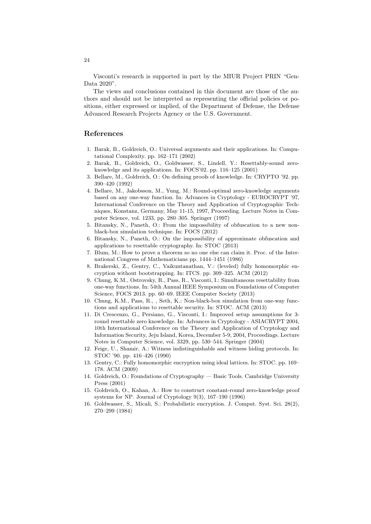Visconti's research is supported in part by the MIUR Project PRIN "Gen-Data 2020".

The views and conclusions contained in this document are those of the authors and should not be interpreted as representing the official policies or positions, either expressed or implied, of the Department of Defense, the Defense Advanced Research Projects Agency or the U.S. Government.

# References

- 1. Barak, B., Goldreich, O.: Universal arguments and their applications. In: Computational Complexity. pp. 162–171 (2002)
- 2. Barak, B., Goldreich, O., Goldwasser, S., Lindell, Y.: Resettably-sound zeroknowledge and its applications. In: FOCS'02. pp. 116–125 (2001)
- 3. Bellare, M., Goldreich, O.: On defining proofs of knowledge. In: CRYPTO '92. pp. 390–420 (1992)
- 4. Bellare, M., Jakobsson, M., Yung, M.: Round-optimal zero-knowledge arguments based on any one-way function. In: Advances in Cryptology - EUROCRYPT '97, International Conference on the Theory and Application of Cryptographic Techniques, Konstanz, Germany, May 11-15, 1997, Proceeding. Lecture Notes in Computer Science, vol. 1233, pp. 280–305. Springer (1997)
- 5. Bitansky, N., Paneth, O.: From the impossibility of obfuscation to a new nonblack-box simulation technique. In: FOCS (2012)
- 6. Bitansky, N., Paneth, O.: On the impossibility of approximate obfuscation and applications to resettable cryptography. In: STOC (2013)
- 7. Blum, M.: How to prove a theorem so no one else can claim it. Proc. of the International Congress of Mathematicians pp. 1444–1451 (1986)
- 8. Brakerski, Z., Gentry, C., Vaikuntanathan, V.: (leveled) fully homomorphic encryption without bootstrapping. In: ITCS. pp. 309–325. ACM (2012)
- 9. Chung, K.M., Ostrovsky, R., Pass, R., Visconti, I.: Simultaneous resettability from one-way functions. In: 54th Annual IEEE Symposium on Foundations of Computer Science, FOCS 2013. pp. 60–69. IEEE Computer Society (2013)
- 10. Chung, K.M., Pass, R., , Seth, K.: Non-black-box simulation from one-way functions and applications to resettable security. In: STOC. ACM (2013)
- 11. Di Crescenzo, G., Persiano, G., Visconti, I.: Improved setup assumptions for 3 round resettable zero knowledge. In: Advances in Cryptology - ASIACRYPT 2004, 10th International Conference on the Theory and Application of Cryptology and Information Security, Jeju Island, Korea, December 5-9, 2004, Proceedings. Lecture Notes in Computer Science, vol. 3329, pp. 530–544. Springer (2004)
- 12. Feige, U., Shamir, A.: Witness indistinguishable and witness hiding protocols. In: STOC '90. pp. 416–426 (1990)
- 13. Gentry, C.: Fully homomorphic encryption using ideal lattices. In: STOC. pp. 169– 178. ACM (2009)
- 14. Goldreich, O.: Foundations of Cryptography Basic Tools. Cambridge University Press (2001)
- 15. Goldreich, O., Kahan, A.: How to construct constant-round zero-knowledge proof systems for NP. Journal of Cryptology 9(3), 167–190 (1996)
- 16. Goldwasser, S., Micali, S.: Probabilistic encryption. J. Comput. Syst. Sci. 28(2), 270–299 (1984)